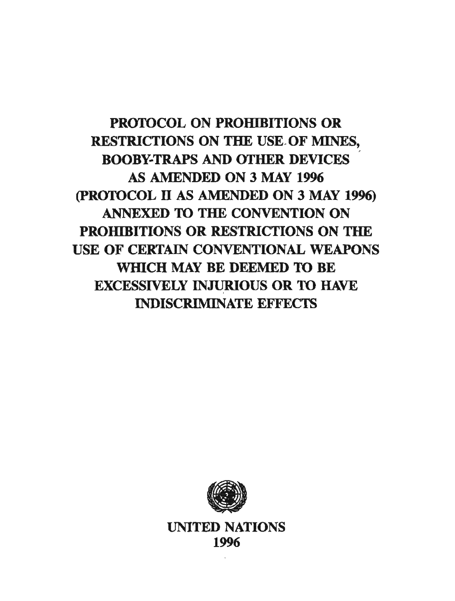PROTOCOL ON PROHIBITIONS OR RESTRICTIONS ON THE USE OF MINES, BOOBY-TRAPS AND OTHER DEVICES AS AMENDED ON 3 MAY 1996 (PROTOCOL II AS AMENDED ON 3 MAY 1996) ANNEXED TO THE CONVENTION ON PROHIBITIONS OR RESTRICTIONS ON THE USE OF CERTA1N CONVENTIONAL WEAPONS WHICH MAY BE DEEMED TO BE EXCESSIVELY INJURIOUS OR TO HAVE INDISCRIMINATE EFFECTS



UNITED NATIONS 1996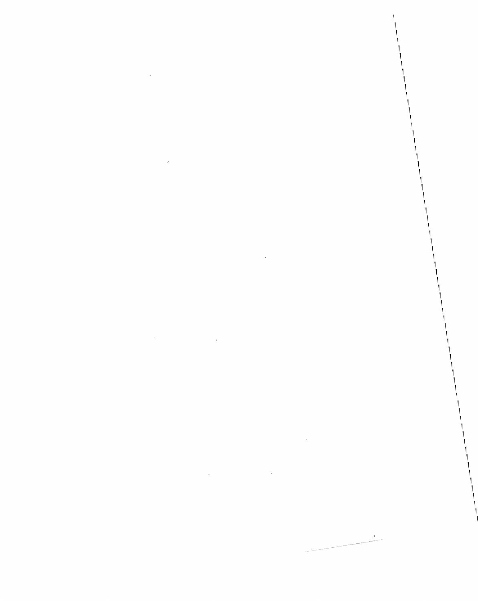$\label{eq:2.1} \frac{1}{\sqrt{2}}\int_{\mathbb{R}^3}\frac{1}{\sqrt{2}}\left(\frac{1}{\sqrt{2}}\right)^2\frac{1}{\sqrt{2}}\left(\frac{1}{\sqrt{2}}\right)^2\frac{1}{\sqrt{2}}\left(\frac{1}{\sqrt{2}}\right)^2\frac{1}{\sqrt{2}}\left(\frac{1}{\sqrt{2}}\right)^2.$  $\label{eq:2.1} \mathcal{L}(\mathcal{L}(\mathcal{L})) = \mathcal{L}(\mathcal{L}(\mathcal{L})) = \mathcal{L}(\mathcal{L}(\mathcal{L})) = \mathcal{L}(\mathcal{L}(\mathcal{L})) = \mathcal{L}(\mathcal{L}(\mathcal{L})) = \mathcal{L}(\mathcal{L}(\mathcal{L})) = \mathcal{L}(\mathcal{L}(\mathcal{L})) = \mathcal{L}(\mathcal{L}(\mathcal{L})) = \mathcal{L}(\mathcal{L}(\mathcal{L})) = \mathcal{L}(\mathcal{L}(\mathcal{L})) = \mathcal{L}(\mathcal{L}(\mathcal{L})) = \math$  $\label{eq:2.1} \frac{1}{2} \sum_{i=1}^n \frac{1}{2} \sum_{j=1}^n \frac{1}{2} \sum_{j=1}^n \frac{1}{2} \sum_{j=1}^n \frac{1}{2} \sum_{j=1}^n \frac{1}{2} \sum_{j=1}^n \frac{1}{2} \sum_{j=1}^n \frac{1}{2} \sum_{j=1}^n \frac{1}{2} \sum_{j=1}^n \frac{1}{2} \sum_{j=1}^n \frac{1}{2} \sum_{j=1}^n \frac{1}{2} \sum_{j=1}^n \frac{1}{2} \sum_{j=1}^n \frac{$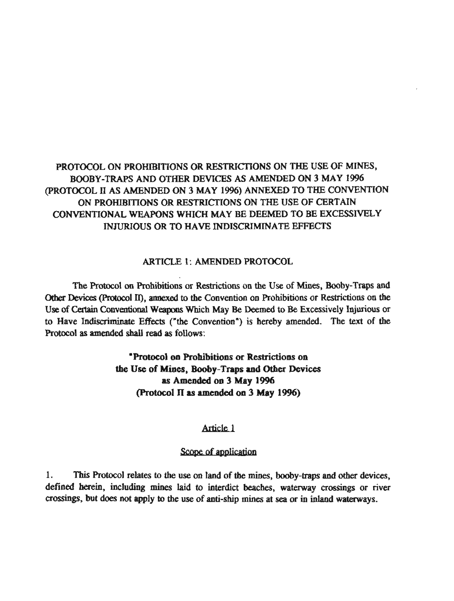## PROTOCOL ON PROHIBITIONS OR RESTRICTIONS ON THE USE OF MINES, BOOBY-TRAPS AND OTHER DEVICES AS AMENDED ON 3 MAY 1996 (PROTOCOL II AS AMENDED ON 3 MAY 1996) ANNEXED TO THE CONVENTION ON PROHIBITIONS OR RESTRICTIONS ON THE USE OF CERTAIN CONVENTIONAL WEAPONS WHICH MAY BE DEEMED TO BE EXCESSIVELY INJURIOUS OR TO HAVE INDISCRIMINATE EFFECTS

#### ARTICLE 1: AMENDED PROTOCOL

The Protocol on Prohibitions or Restrictions on the Use of Mines, Booby-Traps and Other Devices (Protocol II), annexed to the Convention on Prohibitions or Restrictions on the Use of Certain Conventional Weapons Which May Be Deemed to Be Excessively Injurious or to Have Indiscriminate Effects ("the Convention") is hereby amended. The text of the Protocol as amended shall read as follows:

> "Protocol on Prohibitions or Restrictions on the Use of Mines, Booby-Traps and Other Devices as Amended on 3 May 1996 (Protocol II as amended on 3 May 1996)

#### Article 1

#### Scope of application

1. This Protocol relates to the use on land of the mines, booby-traps and other devices, defined herein, including mines laid to interdict beaches, waterway crossings or river crossings, but does not apply to the use of anti-ship mines at sea or in inland waterways.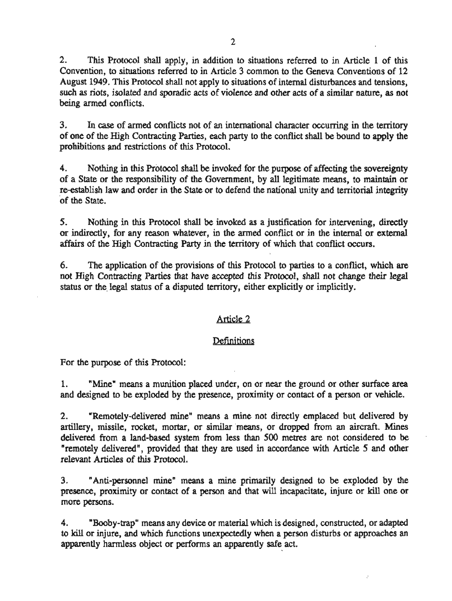$2.$ This Protocol shall apply, in addition to situations referred to in Article 1 of this Convention, to situations referred to in Article 3 common to the Geneva Conventions of 12 August 1949. This Protocol shall not apply to situations of internal disturbances and tensions, such as riots, isolated and sporadic acts of violence and other acts of a similar nature, as not being armed conflicts.

3. In case of armed conflicts not of an international character occurring in the territory of one of the High Contracting Parties, each party to the conflict shall be bound to apply the prohibitions and restrictions of this Protocol.

4. Nothing in this Protocol shall be invoked for the purpose of affecting the sovereignty of a State or the responsibility of the Government, by all legitimate means, to maintain or re-establish law and order in the State or to defend the national unity and territorial integrity 'of the State.

5. Nothing in this Protocol shall be invoked as a justification for intervening, directly or indirectly, for any reason whatever, in the armed conflict or in the internal or external affairs of the High Contracting Party in the territory of which that conflict occurs.

6. The application of the provisions of this Protocol to parties to a conflict, which are not High Contracting Parties that have accepted this Protocol, shall not change their legal status or the legal status of a disputed territory, either explicitly or implicitly.

### Article 2

### **Definitions**

For the purpose of this Protocol:

1. "Mine" means a munition placed under, on or near the ground or other surface area and designed to be exploded by the presence, proximity or contact of a person or vehicle.

2. "Remotely~delivered mine" means a mine not directly emplaced but delivered by artillery, missile, rocket, mortar, or similar means, or dropped from an aircraft. Mines delivered from a land-based system from less than 500 metres are not considered to be "remotely delivered", provided that they are used in accordance with Article 5 and other relevant Articles of this Protocol.

3. "Anti-personnel mine" means a mine primarily designed to be exploded by the presence, proximity or contact of a person and that will incapacitate, injure or more persons.

4. "Booby-trap" means any device or material which is designed, constructed, or adapted to kill or injure, and which functions unexpectedly when a person disturbs or approaches an apparently harmless object or performs an apparently safe act.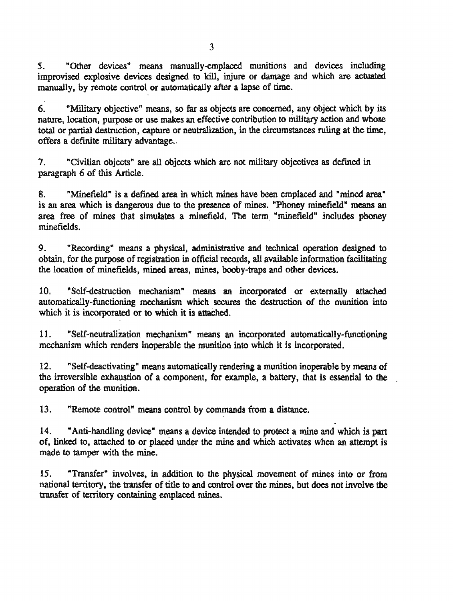5. "Other devices" means manually-emplaced munitions and devices including improvised explosive devices designed to kill, injure or damage and which are actuated manually, by remote control or automatically after a lapse of time.

6. "Military objective" means, so far as objects are concerned, any object which by its nature, location, purpose or use makes an effective contribution to military action and whose total or partial destruction, capture or neutralization, in the circumstances ruling at the time, offers a definite military advantage.

7. "Civilian objects" are all objects which are not military objectives as defined in paragraph 6 of this Article.

8. "Minefield" is a defined area in which mines have been emplaced and "mined area" is an area which is dangerous due to the presence of mines. "Phoney minefield" means an area free of mines that simulates a minefield. The term "minefield" includes phoney minefields.

9. "Recording" means a physical, administrative and technical operation designed to obtain, for the purpose of registration in official records, all available information facilitating the location of minefields, mined areas, mines, booby-traps and other devices.

10. "Self-destruction mechanism" means an incorporated or externally attached automatically-functioning mechanism which secures the destruction of the munition into which it is incorporated or to which it is attached.

11. "Self-neutralization mechanism" means an incorporated automatically-functioning mechanism which renders inoperable the munition into which it is incorporated.

12. "Self-deactivating" means automatically rendering a munition inoperable by means of the irreversible exhaustion of a component, for example, a battery, that is essential to the operation of the munition.

13. "Remote control" means control by commands from a distance.

14. "Anti-handling device" means a device intended to protect a mine and which is part of, linked to, attached to or placed under the mine and which activates when an attempt is made to tamper with the mine.

15. "Transfer" involves, in addition to the physical movement of mines into or from national territory, the transfer of title to and control over the mines, but does not involve the transfer of territory containing emplaced mines.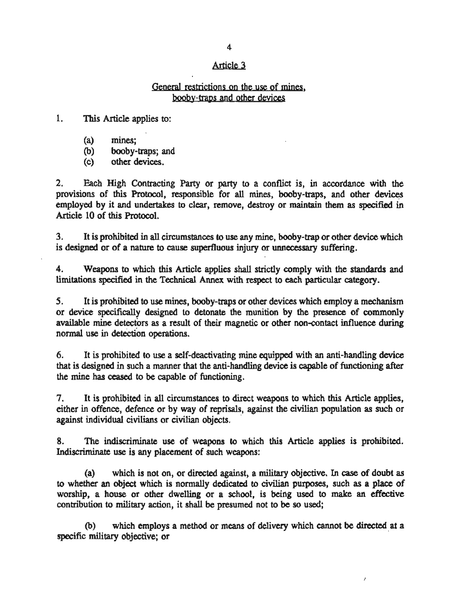#### Article 3

#### General restrictions on the use of mines. booby-traps and other devices

1. This Article applies to:

- (a) mines;
- (b) booby-traps; and
- (c) other devices.

2. High Contracting Party or party to a conflict is, in accordance with the provisions of this Protocol, responsible for all mines, booby-traps, and other devices employed by it and undertakes to clear, remove, destroy or maintain them as specified in Article 10 of this Protocol.

3. It is prohibited in all circumstances to use any mine, booby-trap or other device which is designed or of a nature to cause superfluous injury or unnecessary suffering.

4. Weapons to which this Article applies shall strictly comply with the standards and limitations specified in the Technical Annex with respect to each particular category.

5. It is prohibited to use mines, booby-traps or other devices which employ a mechanism or device specifically designed to detonate the munition by the presence of commonly available mine detectors as a result of their magnetic or other non-contact influence during normal use in detection operations.

6. It is prohibited to use a self-deactivating mine equipped with an anti-handling device that is designed in such a manner that the anti-handling device is capable of functioning after the mine has ceased to be capable of functioning.

7. It is prohibited in all circumstances to direct weapons to which this Article applies, either in offence, defence or by way of reprisals, against the civilian population as such or against individual civilians or civilian objects. '

8. The indiscriminate use of weapons to which this Article applies is prohibited. Indiscriminate use is any placement of such weapons:

(a) which is not on, or directed against, a military objective. In case of doubt as to whether an object which is normally dedicated to civilian purposes, such as a place of worship, a house or other dwelling or a school, is being used to make an effective contribution to military action, it shall be presumed not to be so used;

(b) which employs a method or means of delivery which cannot be directed at a specific military objective; or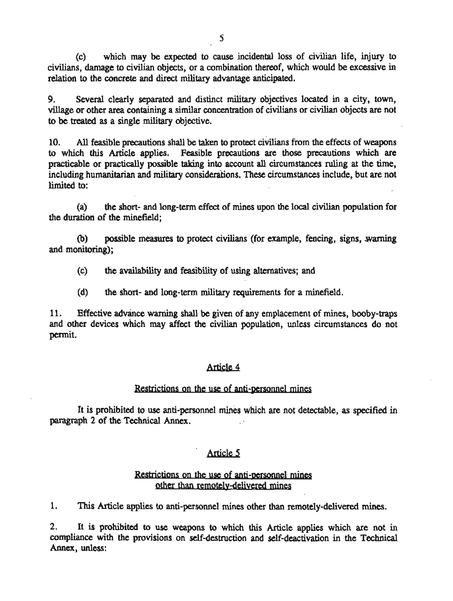(c) which may be expected to cause incidental loss of civilian life, injury to civilians, damage to civilian objects, or a combination thereof, which would be excessive in relation to the concrete and direct military advantage anticipated.

9. Several clearly separated and distinct military objectives located in a city, town, village or other area containing a similar concentration of civilians or civilian objects are not to be treated as a single military objective.

10. All feasible precautions shall be taken to protect civilians from the effects of weapons to which this Article applies. Feasible precautions are those precautions which are practicable or practically possible taking into account all circumstances ruling at the time, including humanitarian and military considerations. These circumstances include, but are not limited to:

 $(a)$  the short- and long-term effect of mines upon the local civilian population for the duration of the minefield;

(b) possible measures to protect civilians (for example, fencing, signs, warning and monitoring);

(c) the availability and feasibility of using alternatives; and

(d) the short- and long-term military requirements for a minefield.

11. Bffective advance warning shall be given of any emplacement of mines. booby-traps and other devices which may affect the civilian population, unless circumstances do not permit.

#### Article 4

#### Restrictions on the use of anti-personnel mines

It is prohibited to use anti-personnel mines which are not detectable, as specified in paragraph 2 of the Technical Annex.

### Article 5

#### Restrictions on the use of anti-personnel mines other than remotely-delivered mines

 $1.$ This Article applies to anti-personnel mines other than remotely-delivered mines.

2. It is prohibited to use weapons to which this Article applies which are not in compliance with the provisions on self-destruction and se1f·deactivation in the Technical Annex, unless: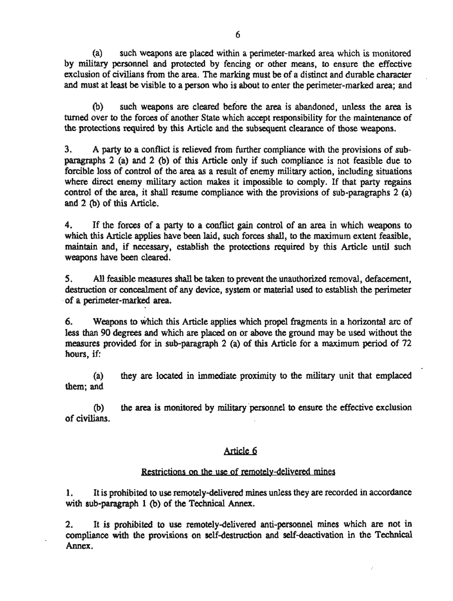(a) such weapons are placed within a perimeter-marked area which is monitored by military personnel and protected by fencing or other means, to ensure the effective exclusion of civilians from the area. The marking must be of a distinct and durable character and must at least be visible to a person who is about to enter the perimeter-marked area; and

 $(b)$  such weapons are cleared before the area is abandoned, unless the area is turned over to the forces of another State which accept responsibility for the maintenance of the protections required by this Article and the subsequent clearance of those weapons.

3. A party to a conflict is relieved from further compliance with the provisions of subparagraphs 2 (a) and 2 (b) of this Article only if such compliance is not feasible due to forcible loss of control of the area as a result of enemy military action, including situations where direct enemy military action makes it impossible to comply. If that party regains control of the area, it shall resume compliance with the provisions of sub-paragraphs  $2$  (a) and 2 (b) of this Article.

4. If the forces of a party to a conflict gain control of an area in which weapons to which this Article applies have been laid, such forces shall, to the maximum extent feasible, maintain and, if necessary, establish the protections required by this Article until such weapons have been cleared.

5. All feasible measures sball be taken to prevent the unauthorized removal, defacement, destruction or concealment of any device, system or material used to establish the perimeter . of a perimeter-marked &rea.

6. Weapons to which this Article applies which propel fragments in a horizontal arc of less than 90 degrees and which are placed on or above the ground may be used without the measures provided for in sub-paragraph 2 (a) of this Article for a maximum period of 72 hours, if:

(a) they are located in immediate proximity to the military unit that emplaced them; and

(b) the area is monitored by military 'personnel to ensure the effective exclusion of civilians.

### Artide 6

### Restrictions on the use of remotely-delivered mines

1. It is prohibited to use remote1y-delivered mines unless they are recorded in accordance with sub-paragraph 1 (b) of the Technical Annex.

2. It is prohibited to use remotely-delivered anti-personnel mines which are not in compliance with the provisions on self-destruction and se1f-deactivation in the Technical Annex.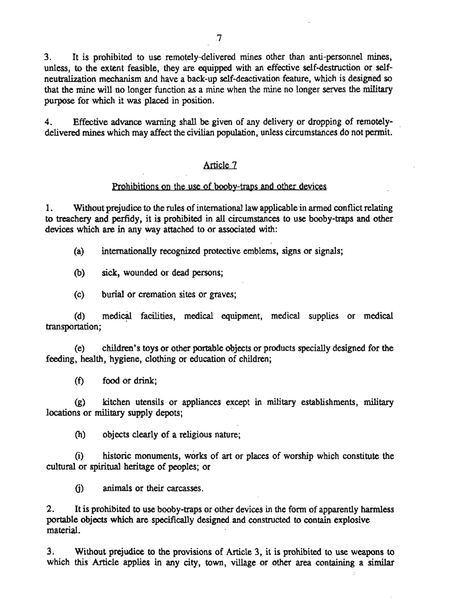3. It is prohibited to use remotely-delivered mines other than anti-personnel mines, unless, to the extent feasible, they are equipped with an effective self-destruction or selfneutralization mechanism and have a back-up self-deactivation feature, which is designed so that the mine will no longer function as a mine when the mine no longer serves the military purpose for which it was placed in position.

4. Effective advance warning shall be given of any delivery or dropping of remotelydelivered mines which may affect the civilian population, unless circumstances do not permit.

#### Article 7

#### Prohibitions on the Use of booby-traps and other devices

1. Without prejudice to the rules of international law applicable in armed conflict relating to treachery and perfidy, it is prohibited in all circumstances to use booby-traps and other devices which are in any way attached to or associated with:

(a) internationally recognized protective emblems, signs or signals;

(b) sick, wounded or dead persons;

(c) burial or cremation sites or graves;

(d) medical facilities, medical equipment, medical supplies or medical transportation;

(e) children's toys or other portable objects or products specially designed for the feeding, health, hygiene, clothing or education of children;

(f) food or drink;

 $(g)$  kitchen utensils or appliances except in military establishments, military locations or military supply depots:

(h) objects clearly of a religious nature;

(i) historic monuments, works of art or places of worship which constitute the cultural or spiritual heritage of peoples; or

 $(i)$ animals or their carcasses.

2. It is prohibited to use booby-traps or other devices in the form of apparently harmless portable objects which are specifically designed and constructed to contain explosive material. .

3. Without prejudice to the provisions of Article 3, it is prohibited to use weapons to which this Article applies in any city, town, village or other area containing a similar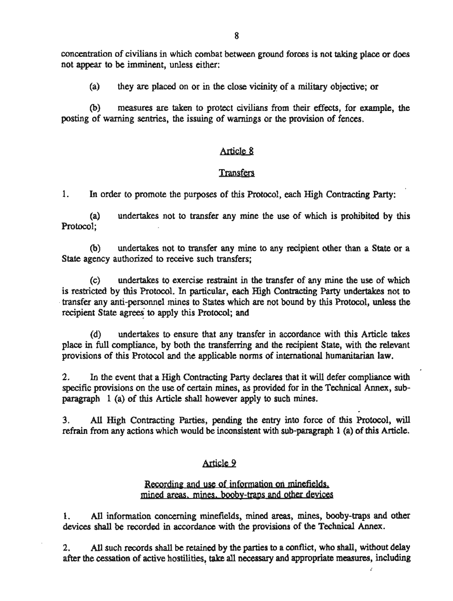concentration of civilians in which combat between ground forces is not taking place or not appear to be imminent, unless either:

(a) they are placed on or in the close vicinity of a military objective; or

(b) measures are taken to protect civilians from their effects, for example, the posting of warning sentries, the issuing of warnings or the provision of fences.

## Article 8

## Transfers

1. In order to promote the purposes of this Protocol, each High Contracting Party:

(a) Protocol; undertakes not to transfer any mine the use of which is prohibited by this

(b) undertakes not to transfer any mine to any recipient other than a State or a State agency authorized to receive such transfers;

(c) undertakes to exercise restraint in the transfer of any mine the use of which is restricted by this Protocol. In particular, each High Contracting Party undertakes not to transfer any anti-personnel mines to States which are not bound by this Protocol, unless the recipient State agrees to apply this Protocol; and

(d) undertakes to ensure that any transfer in accordance with this Article takes place full compliance, by both the transferring and the recipient State, with the relevant provisions of this Protocol and the applicable norms of international humanitarian law.

2. In the event that a High Contracting Party declares that it will defer compliance with specific provisions on the use of certain mines, as provided for in the Technical Annex, sub- $\alpha$  paragraph 1 (a) of this Article shall however apply to such mines.

 $\overline{3}$ . All Contracting Parties, pending the entry into force of this Protocol, refrain from any actions which would be inconsistent with sub-paragraph  $1$  (a) of this Article.

## Article 9

### Recording and use of information on minefields, mined areas. mines. booby-traps and other devices

1. All information concerning minefields, mined areas, mines, booby-traps and other devices shall be recorded in accordance with the provisions of the Technical Annex.

2. All such records shall be retained by the parties to a conflict, who shall, without delay after the cessation of active hostilities, take all necessary and appropriate measures, including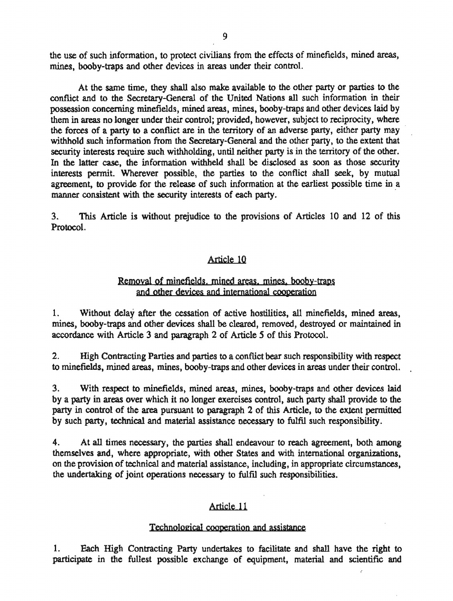the use of such information, to protect civilians from the effects of minefields, mined areas, mines, booby-traps and other devices in areas under their controL

At the same time, they shall also make available to the other party or parties to the conflict and to the Secretary-Genera1 of the United Nations all such information in their possession concerning minefie1ds, mined areas, mines, booby-traps and other devices laid by them in areas no longer under their control; provided, however, subject to reciprocity, where the forces of a party to a conflict are in the territory of an adverse party, either party may withhold such information from the Secretary-General and the other party, to the extent that security interests require such withholding, until neither party is in the territory of the other. In the latter case, the information withheld shall be disclosed as soon as those security interests pennit. Wherever possible, the parties to the conflict shall seek, by mutual agreement, to provide for the release of such information at the earliest possible time in a manner consistent with the security interests of each party. .

3. This Article is without prejudice to the provisions of Articles 10 and 12 of this Protocol.

## Article 10

#### Removal of minefields, mined areas, mines, booby-traps. and other devices and international cooperation

1. Without delay after the cessation of active hostilities, all minefields, mined areas, mines, booby-traps and other devices shall be cleared, removed, destroyed or maintained in accordance with Article 3 and paragraph 2 of Article 5 of this Protocol.

2. High Contracting Parties and parties to a conflict bear such responsibility with respect to minefields, mined areas, mines, booby-traps and other devices in areas under their control.

3. With respect to minefields, mined areas, mines, booby-traps and other devices laid by a party in areas over which it no longer exercises control, such party shall provide to the party in control of the area pursuant to paragraph 2 of this Article, to the extent permitted by such party, technical and material assistance necessary to fulfil such responsibility.

4. At all times necessary, the parties shall endeavour to reach agreement, both among themselves and, where appropriate, With other States and with international organizations, on the provision of technical and material assistance, including, in appropriate circumstances, the undertaking of joint operations necessary to fulfil such responsibilities.

## Article 11

#### Technological cooperation and assistance

1. Each High Contracting Party undertakes to facilitate and shall have the right to participate in the fullest possible exchange of equipment, material and scientific and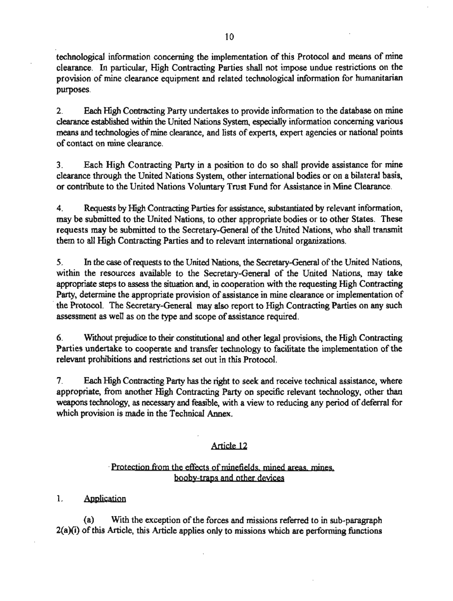technological information concerning the implementation of this Protocol and means of mine clearance. In particular, High Contracting Parties shall not impose undue restrictions on the provision of mine clearance equipment and related technological information for humanitarian purposes.

2. Each Cootracting Party undertakes to provide information to the database on mine clearance established within the United Nations System. especially information concerning various means and technologies of mine clearance, and lists of experts, expert agencies or national points of contact on mine clearance.

3. Each High Contracting Party in a position to do so shall provide assistance for mine clearance through the United Nations System, other international bodies or on a bilateral basis, or contribute to the United Nations Voluntary Trust Fund for Assistance in Mine Clearance.

4. Requests by High Contracting Parties for assistance. substantiated by relevant information, may be submitted to the United Nations, to other appropriate bodies or to other States. These requests may be submitted to the Secretary-General of the United Nations, who shall transmit them to all High Contracting Parties and to relevant international organizations.

5. In the case of requests to the United Nations, the Secretary-General of the United Nations, within the resources available to the Secretary-General of the United Nations, may take appropriate steps to assess the situation and, in cooperation with the requesting High Contracting Party, determine the appropriate provision of assistance in mine clearance or implementation of the Protocol. The Secretary-General may also report to High Contracting Parties on any such assessment as well as on the type and scope of assistance required.

6 Without prejudice to their constitutional and other legal provisions, the High Contracting Parties undertake to cooperate and transfer technology to facilitate the implementation of the relevant prohibitions and restrictions set out in this Protocol.

7. Each High Contracting Party has the right to seek and receive technical assistance, where appropriate, from another High Contracting Party on specific relevant technology, other than weapons technology. as necessary and feastble. with a view to reducing any period of deferral for which provision is made in the Technical Annex.

## Article 12

## Protection from the effects of minefields, mined areas, mines. booby-traps and other devices

### 1. **Application**

(a) With the exception of the forces and missions referred to in sub-paragraph 2(a)(i) of this Article, this Article applies only to missions whicb are performing functions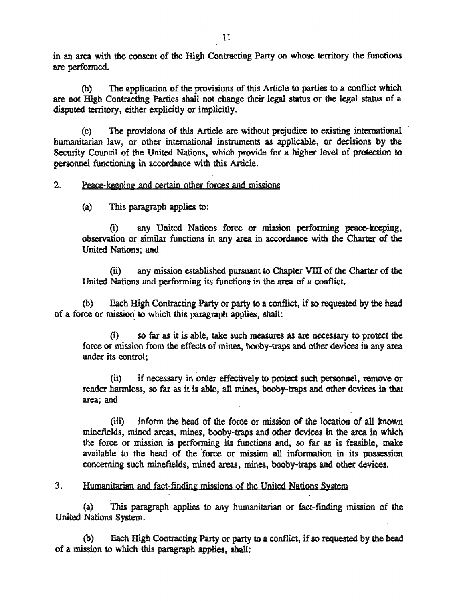in an area with the consent of the High Contracting Party on whose territory the functions are performed.

 $(b)$  The application of the provisions of this Article to parties to a conflict which are not High Contracting Parties shall not change their legal status or the legal status of a disputed territory, either explicitly or implicitly.

(c) The provisions of this Article are without prejudice to existing international humanitarian law, or other international instruments as applicable, or decisions by the Security Council of the United Nations, which provide for a higher level of protection to personnel functioning in accordance with this Article.

#### $\mathbf{2}$ . Peace-keeping and certain other forces and missions

(a) This paragraph applies to:

(i) any United Nations force or mission performing peace-keeping, observation or similar functions in any area in accordance with the Charter of the United Nations; and

(ii) any mission established pursuant to Chapter VIII of the Charter of the United Nations and performing its functions in the area of a conflict.

(b) Each High Contracting Party or party to a conflict, if so requested by the head of a force or mission to which this paragraph applies, shall:

(i) so far as it is able, take such measures as are necessary to protect the force or mission from the effects of mines, booby-traps and other devices in any area under its control;

(ii) if necessary in Order effectively to protect such personnel, remove or render harmless, so far as it is able, all mines, booby-traps and other devices in that area; and

(iii) inform the head of the force or mission of the location of all known minefields, mined areas, mines, booby-traps and other devices in the area in which the force or mission is performing its functions and, so far as is feasible, make available to the head of the 'force or mission all information in its possession concerning such minefie1ds, mined areas, mines, booby-traps and other devices.

3. Humanitarian and fact-finding missions of the United Nations System

(a) This paragraph applies to any humanitarian or fact-finding mission of the United Nations System.

(b) Each High Contracting Party or party to a conflict, if so requested by the head of a mission to which this paragraph applies, shall: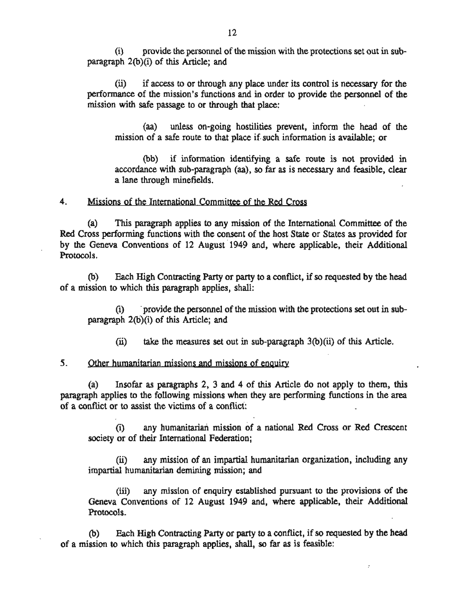$(i)$  provide the personnel of the mission with the protections set out in subparagraph  $2(b)(i)$  of this Article; and

 $(ii)$  if access to or through any place under its control is necessary for the performance of the mission's functions and in order to provide the personnel of the mission with safe passage to or through that place:

(aa) unless on-going hostilities prevent, inform the head of the mission of a safe route to that place if. such information is available; or

(bb) if infonnation identifying a safe route is not provided in accordance with sub-paragraph (aa), so far as is necessary and feasible, clear a lane through minefields.

4. Missions of the International Committee of the Red Cross

(a) This paragraph applies to any mission of the International Committee of the Red Cross performing functions with the consent of the host State or States as provided for by the Geneva Conventions of 12 August'1949 and, where applicable, their Additional Protocols.

(b) Each High Contracting Party or party to a conflict, if so requested by the head of a mission to which this paragraph applies, shall:

 $(i)$  is provide the personnel of the mission with the protections set out in subparagraph  $2(b)(i)$  of this Article; and

(ii) take the measures set out in sub-paragraph  $3(b)(ii)$  of this Article.

#### 5. Other humanitarian missions and missions of enquiry

(a) Insofar as paragraphs 2, 3 and 4 of this Article do not apply to them, this paragraph applies to the following missions when they are performing functions in the area of a conflict or to assist the victims of a conflict:

(i) any humanitarian mission of a national Red Cross or Red Crescent society or of their International Federation;

 $(ii)$  any mission of an impartial humanitarian organization, including any impartial humanitarian demining mission; and

(iii) any mission of enquiry established pursuant to the provisions of the Geneva Conventions of 12 August 1949 and, where applicable, their Additional Protocols.

(b) Each High Contracting Party Of party to a conflict, if so requested by the head of a mission to which this paragraph applies, shall, so far as is feasible: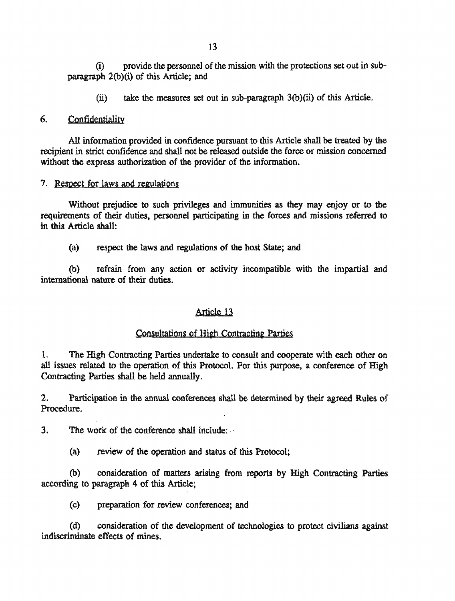(i) provide the personnel of the mission with the protections set out in subparagraph  $2(b)(i)$  of this Article; and

(ii) take the measures set out in sub-paragraph  $3(b)(ii)$  of this Article.

#### 6. Confidentiality

AU information provided in confidence pursuant to this Article shall be treated by the recipient in strict confidence and shall not be released outside the force or mission concerned without the express authorization of the provider of the information.

#### 7. **Respect** for laws and regulations

Without prejudice to such privileges and immunities as they may enjoy or to the requirements of their duties, personnel participating in the forces and missions referred to in this Article shall:

(a) respect the laws and regulations of the host State; and

(b) refrain from any action or activity incompatible with the impartial and international nature of their duties.

### Article 13

### Consultations of High Contracting Parties

1. The High Contracting Parties undertake to consult and cooperate with each other on all issues related to the operation of this Protocol. For this purpose, a conference of High Contracting Parties shall be held annually.

2. Participation in the annual conferences shall be determined by their agreed Rules of Procedure.

3. The work of the conference shall include:

(3) review of the operation and status of this Protocol;

(b) consideration of matters arising from reports by High Contracting Parties according to paragraph 4 of this Article;

(c) preparation for review conferences; and

(d) consideration of the development of technologies to protect civilians against indiscriminate effects of mines.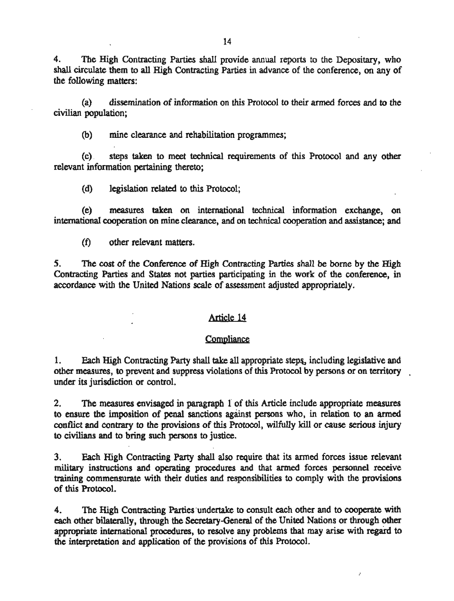4. The High Contracting Parties shall provide annual reports to the Depositary, who shall circulate them to all High Contracting Parties in advance of the conference, on any of the following matters:

(a) dissemination of information on this Protocol to their armed forces and to the civilian population;

(b) mine clearance and rehabilitation programmes;

(c), steps taken to meet technical requirements of this Protocol and any other relevant information pertaining thereto;

(d) legislation related to this Protocol;

(e) measures taken on international technical information exchange, on international cooperation on mine clearance, and on technical cooperation and assistance; and

*(f)* other relevant matters.

5. The *cost* of the Conference of High Contracting Parties shall be borne by the High Contracting Parties and States not parties participating in the work of the conference, in accordance with the United Nations scale of assessment adjusted appropriately.

### Article 14

#### **Compliance**

1. Each High Contracting Party shall take all appropriate steps, including legislative and other measures, to prevent and suppress violations of this Protocol by persons or on territory under its jurisdiction or control.

2. The measures envisaged in paragraph l' of this Article include appropriate measures to ensure the imposition of penal sanctions against persons who, in relation to an armed conflict and contrary to the provisions of this Protocol, wilfully kill or cause serious injury to civilians and to bring such persons to justice.

3. Each High Contracting Party shall also require that its armed forces issue relevant military instructions and openting procedures and that armed forces personnel receive training commensurate with their duties and responsibilities to comply with the provisions of this Protocol.

4. The High Contracting Parties undertake to consult each other and to cooperate with each other bilaterally, through the Secretary-General of the United Nations or through other appropriate international procedures, to resolve any problems that may arise with regard to the interpretation and application of the provisions of this Protocol.

 $\lambda$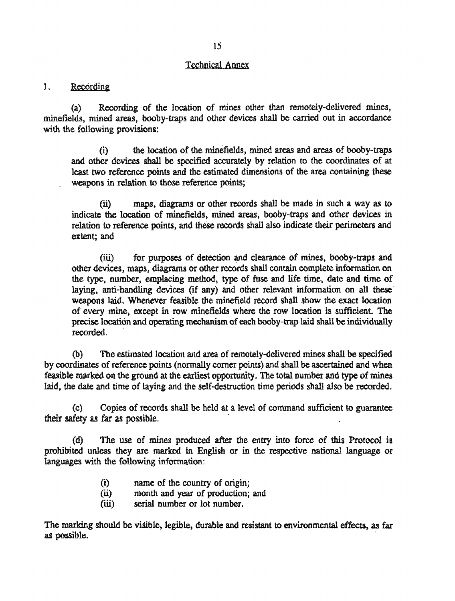#### **Technical Annex**

#### 1. Recording

(a) Recording of the location of mines other than remotely-delivered mines, minefields, mined areas, booby-traps and other devices shall be carried out in accordance with the following provisions:

 $(i)$  the location of the minefields, mined areas and areas of booby-traps and other devices shall be specified accurately by relation to the coordinates of at least two reference points and the estimated dimensions of the area containing these weapons in relation to those reference points:

 $(n)$  maps, diagrams or other records shall be made in such a way as to indicate the location of minefields, mined areas, booby-traps and other devices in relation to reference points, and these records shall also indicate their perimeters and extent; and

(ill) for purposes of detection and clearance of mines, booby-traps and other devices, maps, diagrams or other records shall contain complete information on the type, number, emplacing method, type of fuse and life time, date and time of laying, anti-handling devices (if any) and other relevant information on all these weapons laid. Whenever feasible the minefield record shall show the exact location of every mine, except in row minefields where the row location is sufficient. The precise location and operating mechanism of each booby-trap laid shall be individually recorded.

(b) The estimated location and area of remotely-delivered mines shall be specified by coordinates of reference points (normally corner points) and shall be ascertained and when feasible marked on the ground at the earliest opportunity. The total number and type of mines laid, the date and time of laying and the self-destruction time periods shall also be recorded.

(c) Copies of records shall be held at a level of command sufficient to guarantee their safety as far as possible.

(d) The use of mines produced after the entry into force of this Protocol is prohibited unless they are marked in English or in the respective national language or languages with the following information:

- (i) name of the country of origin;
- $(ii)$ month and year of production; and
- $(iii)$ serial number or lot number.

The marking should be visible, legible, durable and resistant to environmental effects, as far as possible.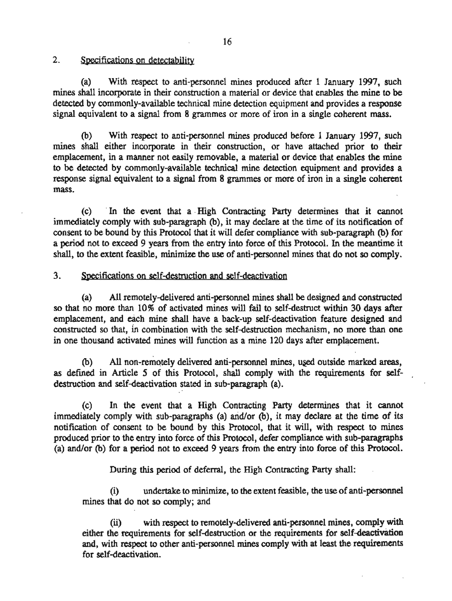#### $2.$ Specifications on detectability

(a) With respect to anti-personnel mines produced after 1 January 1997, such mines shall incorporate in their construction a material or device that enables the mine to be detected by commonly-available technical mine detection equipment and provides a response signal equivalent to a signal from B grammes or more of iron in a single coherent mass.

(b) With respect to anti-personnel mines produced before 1 January 1997, such mines shall either incorporate in their construction, or have attached prior to their emplacement, in a manner not easily removable, a material or device that enables the mine to be detected by commonly-available technical mine detection equipment and provides a response signal equivalent to a signal from B grammes or more of iron in a single coherent mass.

(c) 'In the that a High Contracting Party determines that it cannot immediately comply with sub-paragraph  $(b)$ , it may declare at the time of its notification of consent to be bound by this Protocol that it will defer compliance with sub-paragraph (b) a period not to exceed 9 years from the entry into force of this Protocol. In the meantime it shall, to the extent feasible, minimize the use of anti-personnel mines that do not so comply.

#### 3. Specifications on self-destruction and self-deactivation

(a) All remotely-delivered anti-personnel mines shall be designed and constructed so that no more than  $10\%$  of activated mines will fail to self-destruct within 30 days after emplacement, and each mine shall have a back-up self-deactivation feature designed constructed so that, in combination with the self-destruction mechanism, no more than one in one thousand activated mines will function as a mine 120 days after emplacement.

(b) All non-remotely delivered anti-personnel mines, used outside marked areas, as defined in Article 5 of this Protocol, shall comply with the requirements for selfdestruction and self-deactivation stated in sub-paragraph (a).

(c) the event that a High Contracting Party determines that it cannot immediately comply with sub-paragraphs (a) arid/or (b), it may declare at the time of its notification of consent to be bound by this Protocol, that it will, with respect to mines produced prior to the entry into force of this Protocol, defer compliance with sub-paragraphs (a) and/or (b) for a period not to exceed 9 years from the entry into force of this Protocol.

During this period of deferral, the High Contracting Party shall:

(i) undertake to minimize, to the extent feasible, the use of anti-personnel mines that do not so comply; and

(ii) with respect to remotely-delivered anti-personnel mines, comply with either the requirements for self-destruction or the requirements for self-deactivation and, with respect to other anti-personnel mines comply with at least the requirements for self-deactivation.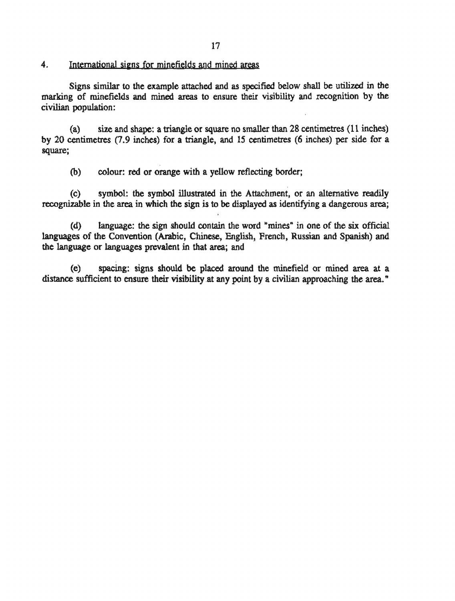4. International signs for minefields and mined areas

Signs similar to the example attached and as specified below shall be utilized in the marking of minefields and mined areas to ensure their visibility and recognition by the civilian population:

(a) size and shape: a triangle or square no smaller than  $28$  centimetres (11 inches) by 20 centimetres  $(7.9 \text{ inches})$  for a triangle, and 15 centimetres  $(6 \text{ inches})$  per side for a square;

(b) colour: red or orange with a yellow reflecting border;

(c) symbol: the symbol illustrated in the Attachment, or an alternative readily recognizable in the area in which the sign is to be displayed as identifying a dangerous area;

(d) language: the sign should contain the word "mines" in one of the six official languages of the Convention (Arabic, Chinese, English, French, Russian and Spanish) and the language or languages prevalent in that area; and

(e) spacing: signs should be placed around the minefield or mined area at a distance sufficient to ensure their visibility at any point by a civilian approaching the area."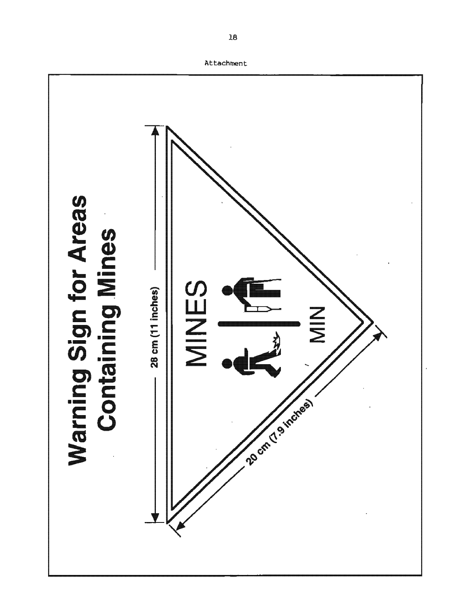Attachment